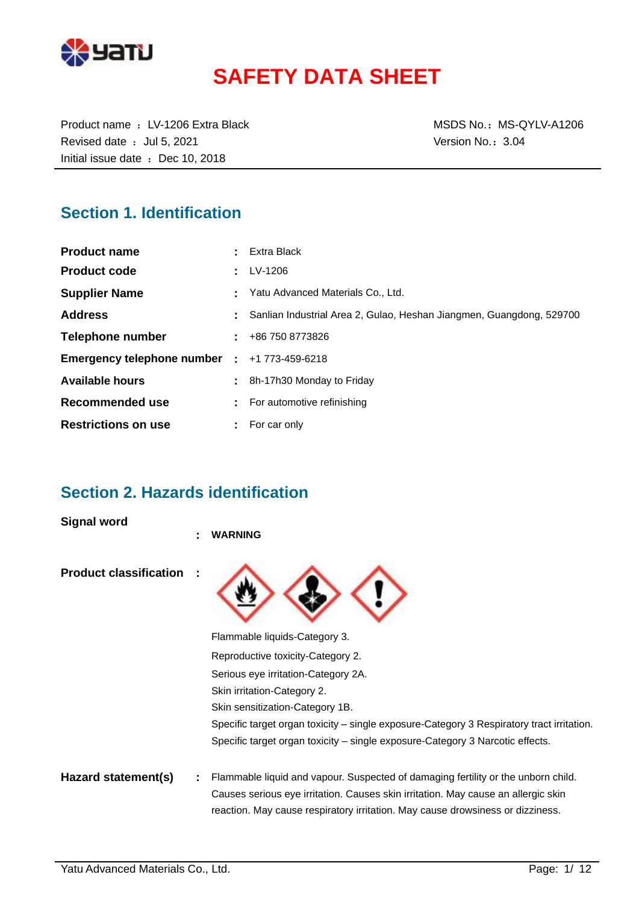

# **SAFETY DATA SHEET**

Product name : LV-1206 Extra Black MSDS No.: MS-QYLV-A1206 Revised date : Jul 5, 2021 Case of the Version No.: 3.04 Initial issue date : Dec 10, 2018

### **Section 1. Identification**

| <b>Product name</b>          |    | Extra Black                                                          |
|------------------------------|----|----------------------------------------------------------------------|
| <b>Product code</b>          |    | LV-1206                                                              |
| <b>Supplier Name</b>         |    | Yatu Advanced Materials Co., Ltd.                                    |
| <b>Address</b>               |    | Sanlian Industrial Area 2, Gulao, Heshan Jiangmen, Guangdong, 529700 |
| <b>Telephone number</b>      |    | $\pm 486$ 750 8773826                                                |
| Emergency telephone number : |    | +1 773-459-6218                                                      |
| <b>Available hours</b>       | ÷. | 8h-17h30 Monday to Friday                                            |
| Recommended use              |    | For automotive refinishing                                           |
| <b>Restrictions on use</b>   | ÷. | For car only                                                         |

### **Section 2. Hazards identification**

**Signal word**

|                               | ÷ | <b>WARNING</b>                                                                                                                                                      |
|-------------------------------|---|---------------------------------------------------------------------------------------------------------------------------------------------------------------------|
| <b>Product classification</b> |   |                                                                                                                                                                     |
|                               |   | Flammable liquids-Category 3.                                                                                                                                       |
|                               |   | Reproductive toxicity-Category 2.                                                                                                                                   |
|                               |   | Serious eye irritation-Category 2A.                                                                                                                                 |
|                               |   | Skin irritation-Category 2.                                                                                                                                         |
|                               |   | Skin sensitization-Category 1B.                                                                                                                                     |
|                               |   | Specific target organ toxicity – single exposure-Category 3 Respiratory tract irritation.                                                                           |
|                               |   | Specific target organ toxicity – single exposure-Category 3 Narcotic effects.                                                                                       |
| Hazard statement(s)           |   | Flammable liquid and vapour. Suspected of damaging fertility or the unborn child.                                                                                   |
|                               |   | Causes serious eye irritation. Causes skin irritation. May cause an allergic skin<br>reaction. May cause respiratory irritation. May cause drowsiness or dizziness. |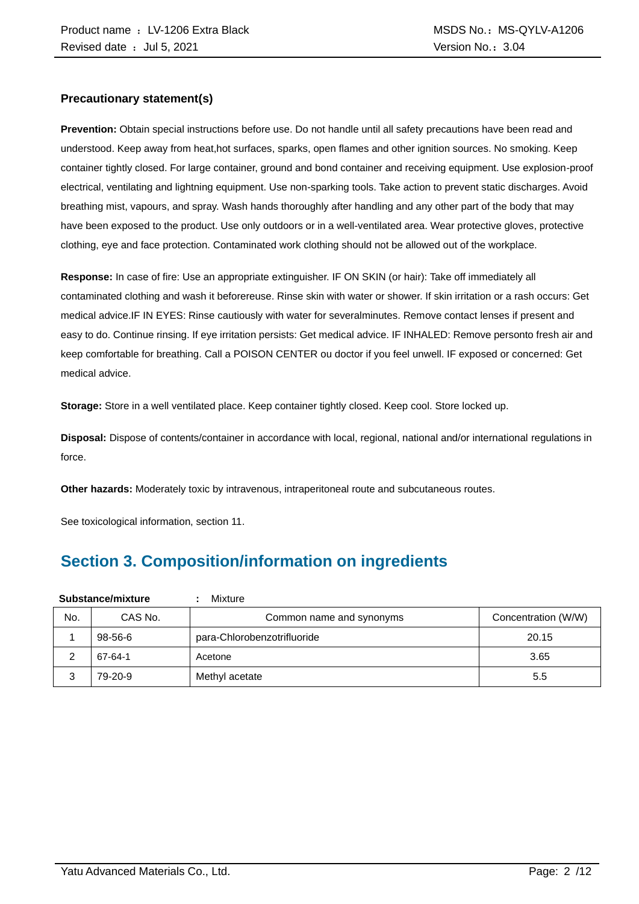#### **Precautionary statement(s)**

**Prevention:** Obtain special instructions before use. Do not handle until all safety precautions have been read and understood. Keep away from heat,hot surfaces, sparks, open flames and other ignition sources. No smoking. Keep container tightly closed. For large container, ground and bond container and receiving equipment. Use explosion-proof electrical, ventilating and lightning equipment. Use non-sparking tools. Take action to prevent static discharges. Avoid breathing mist, vapours, and spray. Wash hands thoroughly after handling and any other part of the body that may have been exposed to the product. Use only outdoors or in a well-ventilated area. Wear protective gloves, protective clothing, eye and face protection. Contaminated work clothing should not be allowed out of the workplace.

**Response:** In case of fire: Use an appropriate extinguisher. IF ON SKIN (or hair): Take off immediately all contaminated clothing and wash it beforereuse. Rinse skin with water or shower. If skin irritation or a rash occurs: Get medical advice.IF IN EYES: Rinse cautiously with water for severalminutes. Remove contact lenses if present and easy to do. Continue rinsing. If eye irritation persists: Get medical advice. IF INHALED: Remove personto fresh air and keep comfortable for breathing. Call a POISON CENTER ou doctor if you feel unwell. IF exposed or concerned: Get medical advice.

**Storage:** Store in a well ventilated place. Keep container tightly closed. Keep cool. Store locked up.

**Disposal:** Dispose of contents/container in accordance with local, regional, national and/or international regulations in force.

**Other hazards:** Moderately toxic by intravenous, intraperitoneal route and subcutaneous routes.

See toxicological information, section 11.

### **Section 3. Composition/information on ingredients**

| Substance/mixture |               | Mixture<br>٠                |                     |
|-------------------|---------------|-----------------------------|---------------------|
| No.               | CAS No.       | Common name and synonyms    | Concentration (W/W) |
|                   | $98 - 56 - 6$ | para-Chlorobenzotrifluoride | 20.15               |
| ົ                 | 67-64-1       | Acetone                     | 3.65                |
| 3                 | 79-20-9       | Methyl acetate              | 5.5                 |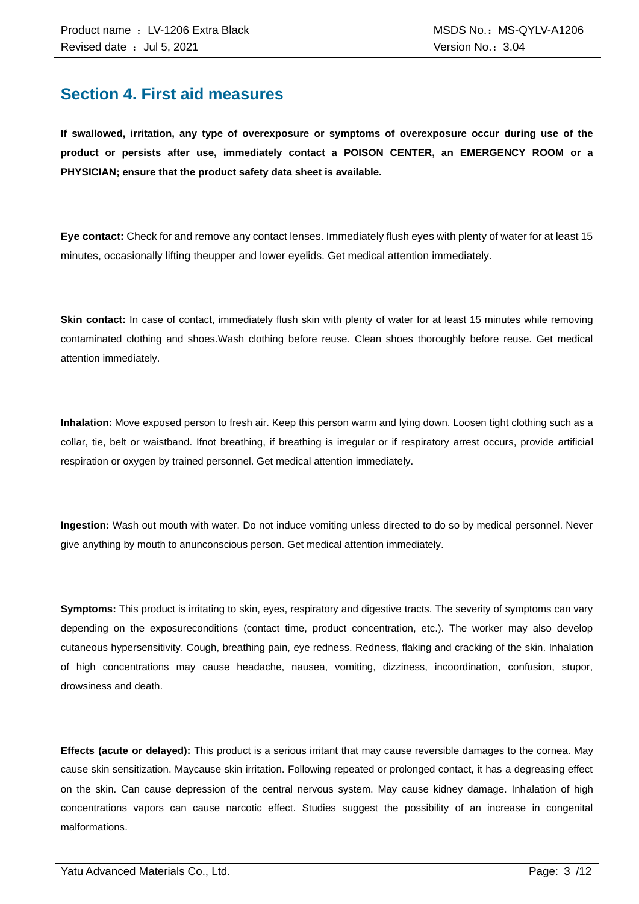### **Section 4. First aid measures**

**If swallowed, irritation, any type of overexposure or symptoms of overexposure occur during use of the product or persists after use, immediately contact a POISON CENTER, an EMERGENCY ROOM or a PHYSICIAN; ensure that the product safety data sheet is available.**

**Eye contact:** Check for and remove any contact lenses. Immediately flush eyes with plenty of water for at least 15 minutes, occasionally lifting theupper and lower eyelids. Get medical attention immediately.

**Skin contact:** In case of contact, immediately flush skin with plenty of water for at least 15 minutes while removing contaminated clothing and shoes.Wash clothing before reuse. Clean shoes thoroughly before reuse. Get medical attention immediately.

**Inhalation:** Move exposed person to fresh air. Keep this person warm and lying down. Loosen tight clothing such as a collar, tie, belt or waistband. Ifnot breathing, if breathing is irregular or if respiratory arrest occurs, provide artificial respiration or oxygen by trained personnel. Get medical attention immediately.

**Ingestion:** Wash out mouth with water. Do not induce vomiting unless directed to do so by medical personnel. Never give anything by mouth to anunconscious person. Get medical attention immediately.

**Symptoms:** This product is irritating to skin, eyes, respiratory and digestive tracts. The severity of symptoms can vary depending on the exposureconditions (contact time, product concentration, etc.). The worker may also develop cutaneous hypersensitivity. Cough, breathing pain, eye redness. Redness, flaking and cracking of the skin. Inhalation of high concentrations may cause headache, nausea, vomiting, dizziness, incoordination, confusion, stupor, drowsiness and death.

**Effects (acute or delayed):** This product is a serious irritant that may cause reversible damages to the cornea. May cause skin sensitization. Maycause skin irritation. Following repeated or prolonged contact, it has a degreasing effect on the skin. Can cause depression of the central nervous system. May cause kidney damage. Inhalation of high concentrations vapors can cause narcotic effect. Studies suggest the possibility of an increase in congenital malformations.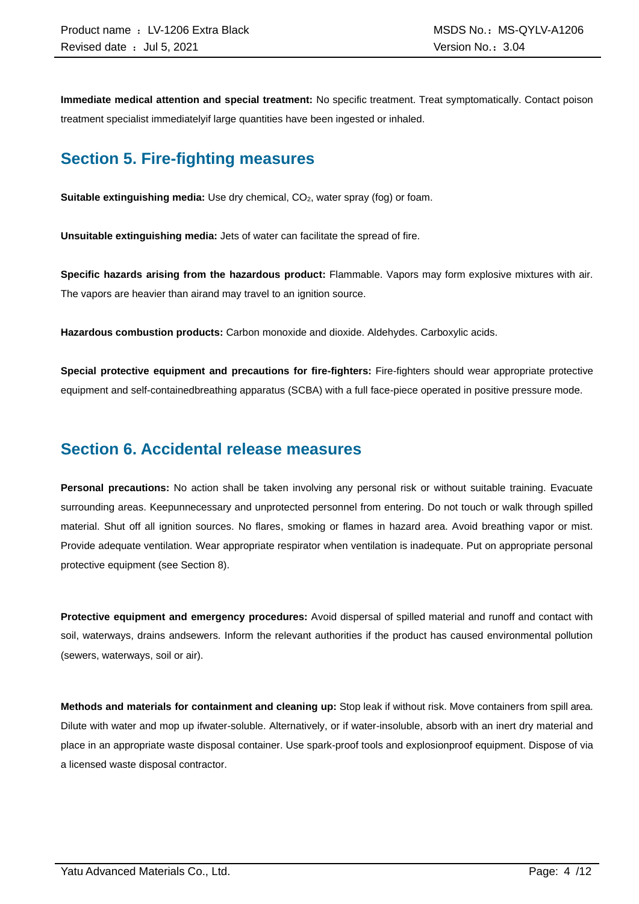**Immediate medical attention and special treatment:** No specific treatment. Treat symptomatically. Contact poison treatment specialist immediatelyif large quantities have been ingested or inhaled.

### **Section 5. Fire-fighting measures**

**Suitable extinguishing media:** Use dry chemical, CO<sub>2</sub>, water spray (fog) or foam.

**Unsuitable extinguishing media:** Jets of water can facilitate the spread of fire.

**Specific hazards arising from the hazardous product:** Flammable. Vapors may form explosive mixtures with air. The vapors are heavier than airand may travel to an ignition source.

**Hazardous combustion products:** Carbon monoxide and dioxide. Aldehydes. Carboxylic acids.

**Special protective equipment and precautions for fire-fighters:** Fire-fighters should wear appropriate protective equipment and self-containedbreathing apparatus (SCBA) with a full face-piece operated in positive pressure mode.

### **Section 6. Accidental release measures**

**Personal precautions:** No action shall be taken involving any personal risk or without suitable training. Evacuate surrounding areas. Keepunnecessary and unprotected personnel from entering. Do not touch or walk through spilled material. Shut off all ignition sources. No flares, smoking or flames in hazard area. Avoid breathing vapor or mist. Provide adequate ventilation. Wear appropriate respirator when ventilation is inadequate. Put on appropriate personal protective equipment (see Section 8).

**Protective equipment and emergency procedures:** Avoid dispersal of spilled material and runoff and contact with soil, waterways, drains andsewers. Inform the relevant authorities if the product has caused environmental pollution (sewers, waterways, soil or air).

**Methods and materials for containment and cleaning up:** Stop leak if without risk. Move containers from spill area. Dilute with water and mop up ifwater-soluble. Alternatively, or if water-insoluble, absorb with an inert dry material and place in an appropriate waste disposal container. Use spark-proof tools and explosionproof equipment. Dispose of via a licensed waste disposal contractor.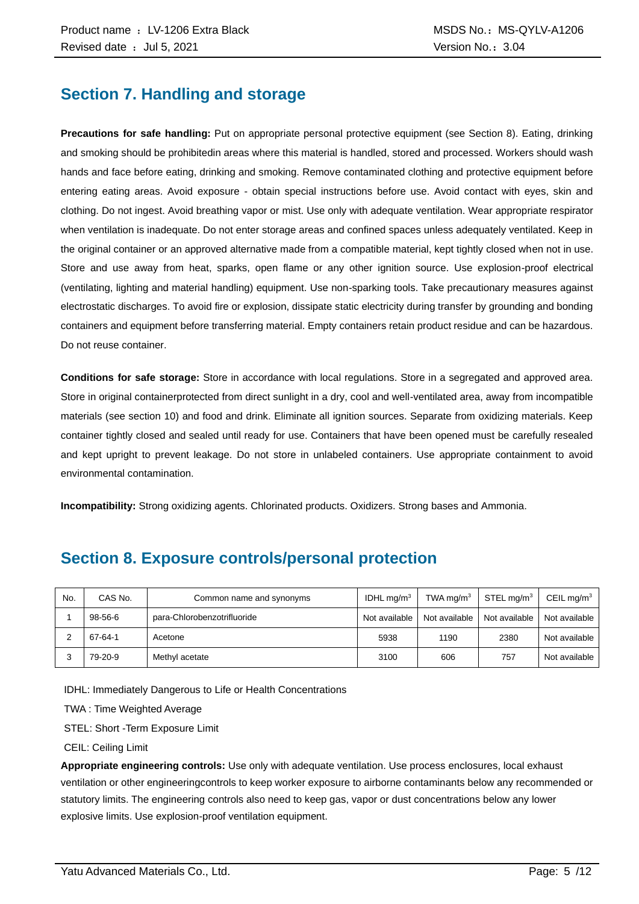### **Section 7. Handling and storage**

**Precautions for safe handling:** Put on appropriate personal protective equipment (see Section 8). Eating, drinking and smoking should be prohibitedin areas where this material is handled, stored and processed. Workers should wash hands and face before eating, drinking and smoking. Remove contaminated clothing and protective equipment before entering eating areas. Avoid exposure - obtain special instructions before use. Avoid contact with eyes, skin and clothing. Do not ingest. Avoid breathing vapor or mist. Use only with adequate ventilation. Wear appropriate respirator when ventilation is inadequate. Do not enter storage areas and confined spaces unless adequately ventilated. Keep in the original container or an approved alternative made from a compatible material, kept tightly closed when not in use. Store and use away from heat, sparks, open flame or any other ignition source. Use explosion-proof electrical (ventilating, lighting and material handling) equipment. Use non-sparking tools. Take precautionary measures against electrostatic discharges. To avoid fire or explosion, dissipate static electricity during transfer by grounding and bonding containers and equipment before transferring material. Empty containers retain product residue and can be hazardous. Do not reuse container.

**Conditions for safe storage:** Store in accordance with local regulations. Store in a segregated and approved area. Store in original containerprotected from direct sunlight in a dry, cool and well-ventilated area, away from incompatible materials (see section 10) and food and drink. Eliminate all ignition sources. Separate from oxidizing materials. Keep container tightly closed and sealed until ready for use. Containers that have been opened must be carefully resealed and kept upright to prevent leakage. Do not store in unlabeled containers. Use appropriate containment to avoid environmental contamination.

**Incompatibility:** Strong oxidizing agents. Chlorinated products. Oxidizers. Strong bases and Ammonia.

### **Section 8. Exposure controls/personal protection**

| No. | CAS No.       | Common name and synonyms    | IDHL mg/m $3$ | TWA mg/m $3$  | $STEL$ mg/m <sup>3</sup> | CEIL mg/m <sup>3</sup> |
|-----|---------------|-----------------------------|---------------|---------------|--------------------------|------------------------|
|     | $98 - 56 - 6$ | para-Chlorobenzotrifluoride | Not available | Not available | Not available            | Not available          |
|     | 67-64-1       | Acetone                     | 5938          | 1190          | 2380                     | Not available          |
|     | 79-20-9       | Methyl acetate              | 3100          | 606           | 757                      | Not available          |

IDHL: Immediately Dangerous to Life or Health Concentrations

TWA : Time Weighted Average

STEL: Short -Term Exposure Limit

CEIL: Ceiling Limit

**Appropriate engineering controls:** Use only with adequate ventilation. Use process enclosures, local exhaust ventilation or other engineeringcontrols to keep worker exposure to airborne contaminants below any recommended or statutory limits. The engineering controls also need to keep gas, vapor or dust concentrations below any lower explosive limits. Use explosion-proof ventilation equipment.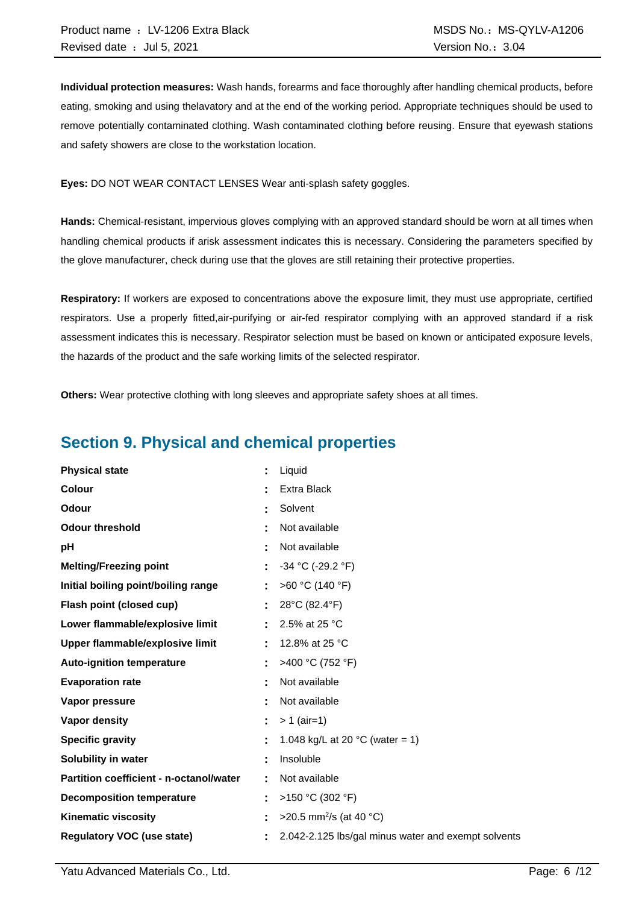**Individual protection measures:** Wash hands, forearms and face thoroughly after handling chemical products, before eating, smoking and using thelavatory and at the end of the working period. Appropriate techniques should be used to remove potentially contaminated clothing. Wash contaminated clothing before reusing. Ensure that eyewash stations and safety showers are close to the workstation location.

**Eyes:** DO NOT WEAR CONTACT LENSES Wear anti-splash safety goggles.

**Hands:** Chemical-resistant, impervious gloves complying with an approved standard should be worn at all times when handling chemical products if arisk assessment indicates this is necessary. Considering the parameters specified by the glove manufacturer, check during use that the gloves are still retaining their protective properties.

**Respiratory:** If workers are exposed to concentrations above the exposure limit, they must use appropriate, certified respirators. Use a properly fitted,air-purifying or air-fed respirator complying with an approved standard if a risk assessment indicates this is necessary. Respirator selection must be based on known or anticipated exposure levels, the hazards of the product and the safe working limits of the selected respirator.

**Others:** Wear protective clothing with long sleeves and appropriate safety shoes at all times.

### **Section 9. Physical and chemical properties**

| <b>Physical state</b>                   | Liquid                                              |
|-----------------------------------------|-----------------------------------------------------|
| <b>Colour</b>                           | Extra Black                                         |
| Odour                                   | Solvent                                             |
| <b>Odour threshold</b>                  | Not available                                       |
| pH                                      | Not available                                       |
| <b>Melting/Freezing point</b>           | $-34$ °C (-29.2 °F)                                 |
| Initial boiling point/boiling range     | >60 °C (140 °F)                                     |
| Flash point (closed cup)                | 28°C (82.4°F)                                       |
| Lower flammable/explosive limit         | 2.5% at 25 °C                                       |
| Upper flammable/explosive limit         | 12.8% at 25 °C                                      |
| <b>Auto-ignition temperature</b>        | >400 °C (752 °F)                                    |
| <b>Evaporation rate</b>                 | Not available                                       |
| Vapor pressure                          | Not available                                       |
| Vapor density                           | $> 1$ (air=1)                                       |
| <b>Specific gravity</b>                 | 1.048 kg/L at 20 $^{\circ}$ C (water = 1)           |
| Solubility in water                     | Insoluble                                           |
| Partition coefficient - n-octanol/water | Not available                                       |
| <b>Decomposition temperature</b>        | >150 °C (302 °F)                                    |
| <b>Kinematic viscosity</b>              | >20.5 mm <sup>2</sup> /s (at 40 °C)                 |
| <b>Regulatory VOC (use state)</b>       | 2.042-2.125 lbs/gal minus water and exempt solvents |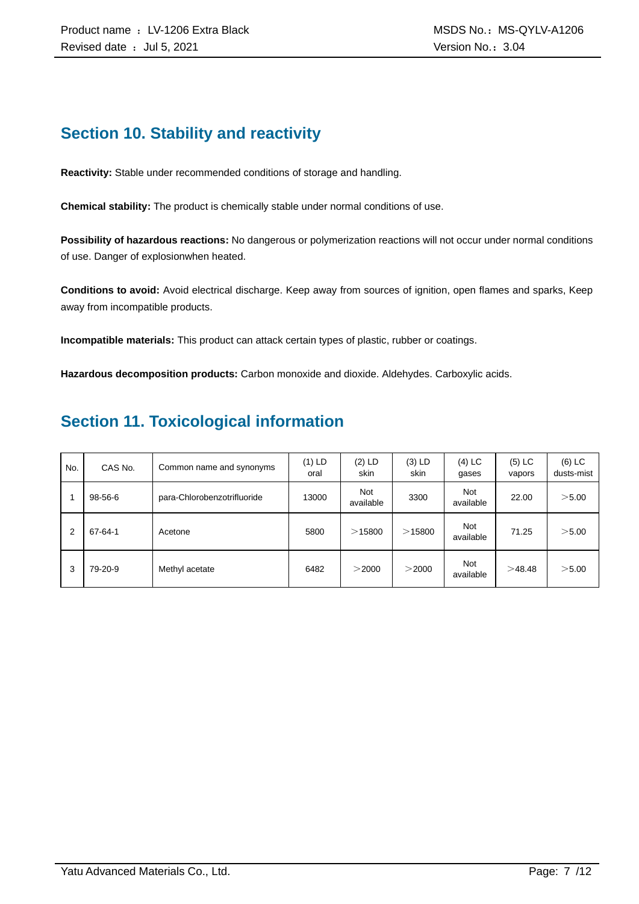### **Section 10. Stability and reactivity**

**Reactivity:** Stable under recommended conditions of storage and handling.

**Chemical stability:** The product is chemically stable under normal conditions of use.

**Possibility of hazardous reactions:** No dangerous or polymerization reactions will not occur under normal conditions of use. Danger of explosionwhen heated.

**Conditions to avoid:** Avoid electrical discharge. Keep away from sources of ignition, open flames and sparks, Keep away from incompatible products.

**Incompatible materials:** This product can attack certain types of plastic, rubber or coatings.

**Hazardous decomposition products:** Carbon monoxide and dioxide. Aldehydes. Carboxylic acids.

### **Section 11. Toxicological information**

| No. | CAS No. | Common name and synonyms    | (1) LD<br>oral | $(2)$ LD<br>skin        | $(3)$ LD<br>skin | $(4)$ LC<br>gases       | $(5)$ LC<br>vapors | $(6)$ LC<br>dusts-mist |
|-----|---------|-----------------------------|----------------|-------------------------|------------------|-------------------------|--------------------|------------------------|
|     | 98-56-6 | para-Chlorobenzotrifluoride | 13000          | <b>Not</b><br>available | 3300             | <b>Not</b><br>available | 22.00              | $>$ 5.00               |
| 2   | 67-64-1 | Acetone                     | 5800           | >15800                  | $>$ 15800        | <b>Not</b><br>available | 71.25              | $>$ 5.00               |
| 3   | 79-20-9 | Methyl acetate              | 6482           | $>$ 2000                | $>$ 2000         | <b>Not</b><br>available | >48.48             | $>$ 5.00               |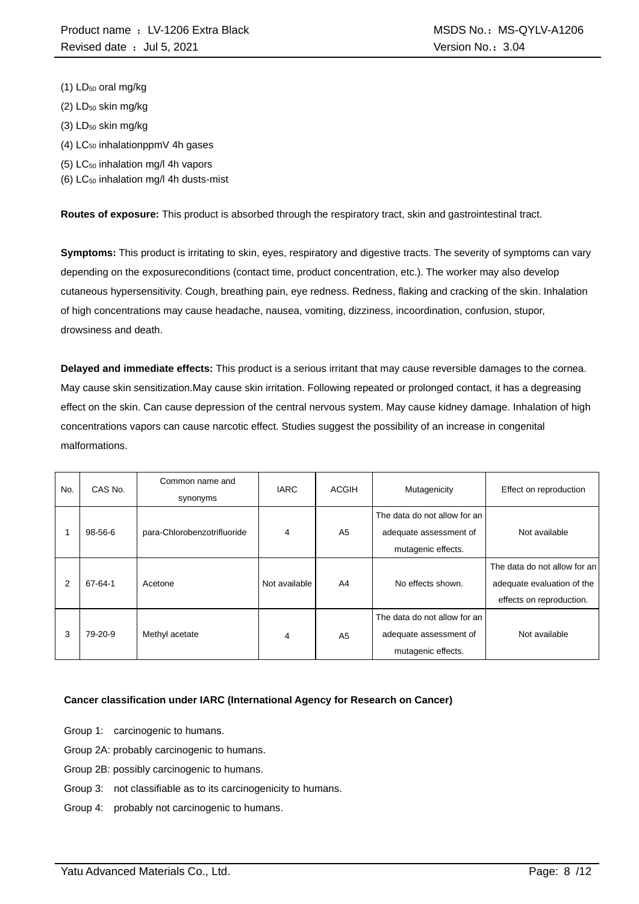- $(1)$  LD<sub>50</sub> oral mg/kg
- $(2)$  LD<sub>50</sub> skin mg/kg
- (3) LD<sub>50</sub> skin mg/kg
- $(4)$  LC<sub>50</sub> inhalationppmV 4h gases
- (5) LC<sup>50</sup> inhalation mg/l 4h vapors
- (6)  $LC_{50}$  inhalation mg/l 4h dusts-mist

**Routes of exposure:** This product is absorbed through the respiratory tract, skin and gastrointestinal tract.

**Symptoms:** This product is irritating to skin, eyes, respiratory and digestive tracts. The severity of symptoms can vary depending on the exposureconditions (contact time, product concentration, etc.). The worker may also develop cutaneous hypersensitivity. Cough, breathing pain, eye redness. Redness, flaking and cracking of the skin. Inhalation of high concentrations may cause headache, nausea, vomiting, dizziness, incoordination, confusion, stupor, drowsiness and death.

**Delayed and immediate effects:** This product is a serious irritant that may cause reversible damages to the cornea. May cause skin sensitization.May cause skin irritation. Following repeated or prolonged contact, it has a degreasing effect on the skin. Can cause depression of the central nervous system. May cause kidney damage. Inhalation of high concentrations vapors can cause narcotic effect. Studies suggest the possibility of an increase in congenital malformations.

| No. | CAS No. | Common name and<br>synonyms | <b>IARC</b>   | <b>ACGIH</b>   | Mutagenicity                                                                 | Effect on reproduction                                                                 |
|-----|---------|-----------------------------|---------------|----------------|------------------------------------------------------------------------------|----------------------------------------------------------------------------------------|
|     | 98-56-6 | para-Chlorobenzotrifluoride | 4             | A <sub>5</sub> | The data do not allow for an<br>adequate assessment of<br>mutagenic effects. | Not available                                                                          |
| 2   | 67-64-1 | Acetone                     | Not available | A4             | No effects shown.                                                            | The data do not allow for an<br>adequate evaluation of the<br>effects on reproduction. |
| 3   | 79-20-9 | Methyl acetate              | 4             | A <sub>5</sub> | The data do not allow for an<br>adequate assessment of<br>mutagenic effects. | Not available                                                                          |

#### **Cancer classification under IARC (International Agency for Research on Cancer)**

- Group 1: carcinogenic to humans.
- Group 2A: probably carcinogenic to humans.
- Group 2B: possibly carcinogenic to humans.
- Group 3: not classifiable as to its carcinogenicity to humans.
- Group 4: probably not carcinogenic to humans.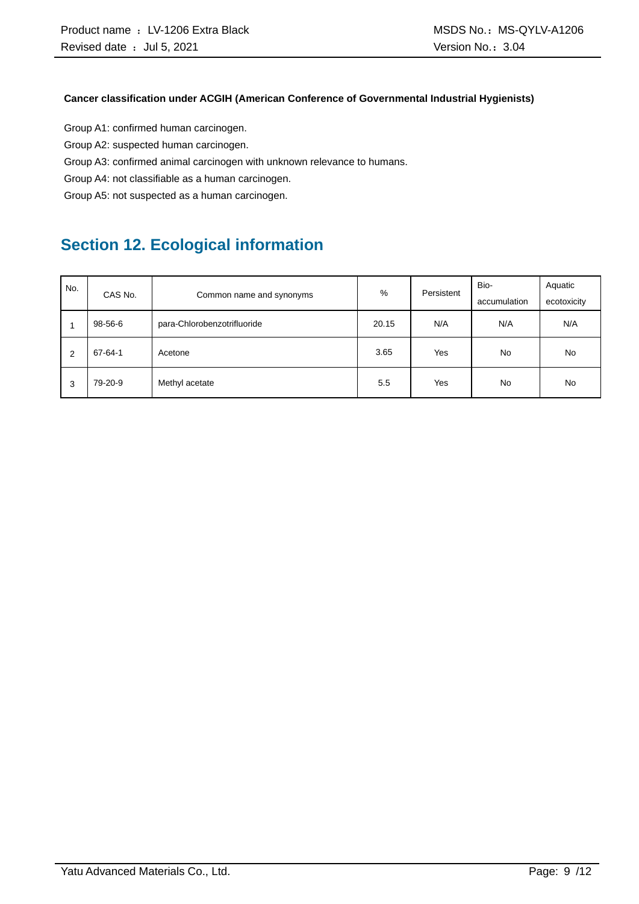#### **Cancer classification under ACGIH (American Conference of Governmental Industrial Hygienists)**

Group A1: confirmed human carcinogen.

Group A2: suspected human carcinogen.

Group A3: confirmed animal carcinogen with unknown relevance to humans.

Group A4: not classifiable as a human carcinogen.

Group A5: not suspected as a human carcinogen.

## **Section 12. Ecological information**

| No. |         |                             | %     | Persistent | Bio-         | Aquatic     |
|-----|---------|-----------------------------|-------|------------|--------------|-------------|
|     | CAS No. | Common name and synonyms    |       |            | accumulation | ecotoxicity |
|     | 98-56-6 | para-Chlorobenzotrifluoride | 20.15 | N/A        | N/A          | N/A         |
| 2   | 67-64-1 | Acetone                     | 3.65  | Yes        | <b>No</b>    | No          |
| 3   | 79-20-9 | Methyl acetate              | 5.5   | Yes        | <b>No</b>    | <b>No</b>   |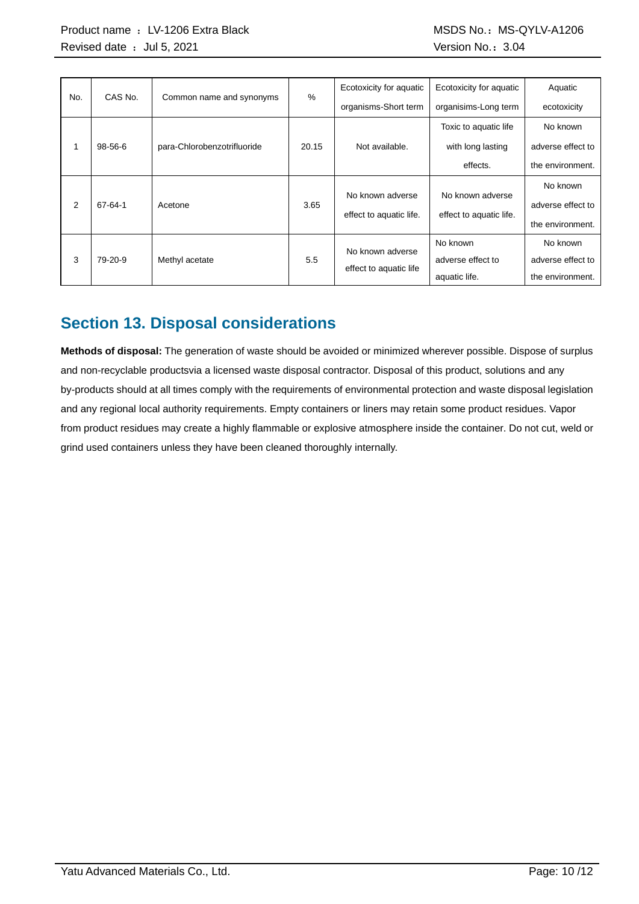| No. | CAS No.       |                             | %     | Ecotoxicity for aquatic | Ecotoxicity for aquatic | Aquatic           |
|-----|---------------|-----------------------------|-------|-------------------------|-------------------------|-------------------|
|     |               | Common name and synonyms    |       | organisms-Short term    | organisims-Long term    | ecotoxicity       |
|     |               |                             |       |                         | Toxic to aquatic life   | No known          |
| 1   | $98 - 56 - 6$ | para-Chlorobenzotrifluoride | 20.15 | Not available.          | with long lasting       | adverse effect to |
|     |               |                             |       |                         | effects.                | the environment.  |
|     |               |                             |       | No known adverse        | No known adverse        | No known          |
| 2   | 67-64-1       | Acetone                     | 3.65  |                         |                         | adverse effect to |
|     |               |                             |       | effect to aquatic life. | effect to aquatic life. | the environment.  |
|     |               |                             |       | No known adverse        | No known                | No known          |
| 3   | 79-20-9       | Methyl acetate              | 5.5   | effect to aquatic life  | adverse effect to       | adverse effect to |
|     |               |                             |       |                         | aquatic life.           | the environment.  |

### **Section 13. Disposal considerations**

**Methods of disposal:** The generation of waste should be avoided or minimized wherever possible. Dispose of surplus and non-recyclable productsvia a licensed waste disposal contractor. Disposal of this product, solutions and any by-products should at all times comply with the requirements of environmental protection and waste disposal legislation and any regional local authority requirements. Empty containers or liners may retain some product residues. Vapor from product residues may create a highly flammable or explosive atmosphere inside the container. Do not cut, weld or grind used containers unless they have been cleaned thoroughly internally.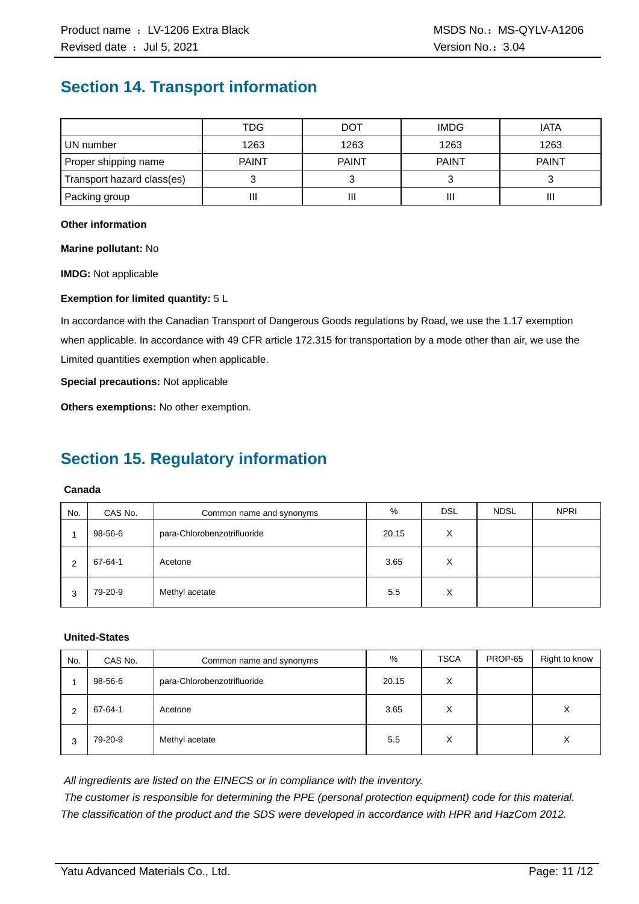### **Section 14. Transport information**

|                            | TDG          | <b>DOT</b>   | <b>IMDG</b>  | <b>IATA</b>  |
|----------------------------|--------------|--------------|--------------|--------------|
| UN number                  | 1263         | 1263         | 1263         | 1263         |
| Proper shipping name       | <b>PAINT</b> | <b>PAINT</b> | <b>PAINT</b> | <b>PAINT</b> |
| Transport hazard class(es) |              |              |              |              |
| Packing group              | Ш            | Ш            | Ш            | Ш            |

#### **Other information**

**Marine pollutant:** No

**IMDG:** Not applicable

#### **Exemption for limited quantity:** 5 L

In accordance with the Canadian Transport of Dangerous Goods regulations by Road, we use the 1.17 exemption when applicable. In accordance with 49 CFR article 172.315 for transportation by a mode other than air, we use the Limited quantities exemption when applicable.

**Special precautions:** Not applicable

**Others exemptions:** No other exemption.

### **Section 15. Regulatory information**

#### **Canada**

| No. | CAS No. | Common name and synonyms    | %     | <b>DSL</b> | <b>NDSL</b> | <b>NPRI</b> |
|-----|---------|-----------------------------|-------|------------|-------------|-------------|
|     | 98-56-6 | para-Chlorobenzotrifluoride | 20.15 | X          |             |             |
| C   | 67-64-1 | Acetone                     | 3.65  | X          |             |             |
| 3   | 79-20-9 | Methyl acetate              | 5.5   | X          |             |             |

#### **United-States**

| No. | CAS No. | Common name and synonyms    | %     | <b>TSCA</b> | PROP-65 | Right to know |
|-----|---------|-----------------------------|-------|-------------|---------|---------------|
|     | 98-56-6 | para-Chlorobenzotrifluoride | 20.15 | X           |         |               |
| 2   | 67-64-1 | Acetone                     | 3.65  | X           |         | X             |
| 3   | 79-20-9 | Methyl acetate              | 5.5   | X           |         | X             |

*All ingredients are listed on the EINECS or in compliance with the inventory.*

*The customer is responsible for determining the PPE (personal protection equipment) code for this material. The classification of the product and the SDS were developed in accordance with HPR and HazCom 2012.*